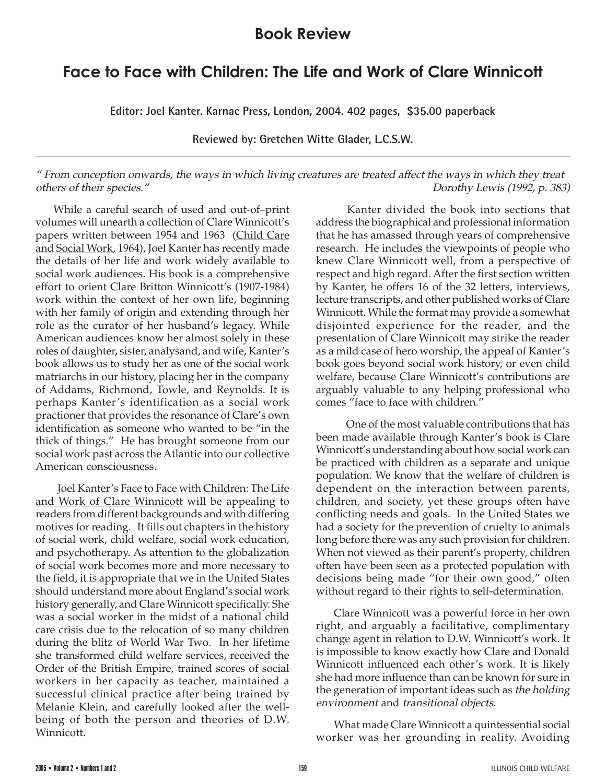## **Book Review**

## **Face to Face with Children: The Life and Work of Clare Winnicott**

**Editor: Joel Kanter. Karnac Press, London, 2004. 402 pages, \$35.00 paperback**

**Reviewed by: Gretchen Witte Glader, L.C.S.W.**

" From conception onwards, the ways in which living creatures are treated affect the ways in which they treat others of their species." Dorothy Lewis (1992, p. 383)

While a careful search of used and out-of–print volumes will unearth a collection of Clare Winnicott's papers written between 1954 and 1963 (Child Care and Social Work, 1964), Joel Kanter has recently made the details of her life and work widely available to social work audiences. His book is a comprehensive effort to orient Clare Britton Winnicott's (1907-1984) work within the context of her own life, beginning with her family of origin and extending through her role as the curator of her husband's legacy. While American audiences know her almost solely in these roles of daughter, sister, analysand, and wife, Kanter's book allows us to study her as one of the social work matriarchs in our history, placing her in the company of Addams, Richmond, Towle, and Reynolds. It is perhaps Kanter's identification as a social work practioner that provides the resonance of Clare's own identification as someone who wanted to be "in the thick of things." He has brought someone from our social work past across the Atlantic into our collective American consciousness.

 Joel Kanter's Face to Face with Children: The Life and Work of Clare Winnicott will be appealing to readers from different backgrounds and with differing motives for reading. It fills out chapters in the history of social work, child welfare, social work education, and psychotherapy. As attention to the globalization of social work becomes more and more necessary to the field, it is appropriate that we in the United States should understand more about England's social work history generally, and Clare Winnicott specifically. She was a social worker in the midst of a national child care crisis due to the relocation of so many children during the blitz of World War Two. In her lifetime she transformed child welfare services, received the Order of the British Empire, trained scores of social workers in her capacity as teacher, maintained a successful clinical practice after being trained by Melanie Klein, and carefully looked after the wellbeing of both the person and theories of D.W. Winnicott.

 Kanter divided the book into sections that address the biographical and professional information that he has amassed through years of comprehensive research. He includes the viewpoints of people who knew Clare Winnicott well, from a perspective of respect and high regard. After the first section written by Kanter, he offers 16 of the 32 letters, interviews, lecture transcripts, and other published works of Clare Winnicott. While the format may provide a somewhat disjointed experience for the reader, and the presentation of Clare Winnicott may strike the reader as a mild case of hero worship, the appeal of Kanter's book goes beyond social work history, or even child welfare, because Clare Winnicott's contributions are arguably valuable to any helping professional who comes "face to face with children."

 One of the most valuable contributions that has been made available through Kanter's book is Clare Winnicott's understanding about how social work can be practiced with children as a separate and unique population. We know that the welfare of children is dependent on the interaction between parents, children, and society, yet these groups often have conflicting needs and goals. In the United States we had a society for the prevention of cruelty to animals long before there was any such provision for children. When not viewed as their parent's property, children often have been seen as a protected population with decisions being made "for their own good," often without regard to their rights to self-determination.

Clare Winnicott was a powerful force in her own right, and arguably a facilitative, complimentary change agent in relation to D.W. Winnicott's work. It is impossible to know exactly how Clare and Donald Winnicott influenced each other's work. It is likely she had more influence than can be known for sure in the generation of important ideas such as the holding environment and transitional objects.

What made Clare Winnicott a quintessential social worker was her grounding in reality. Avoiding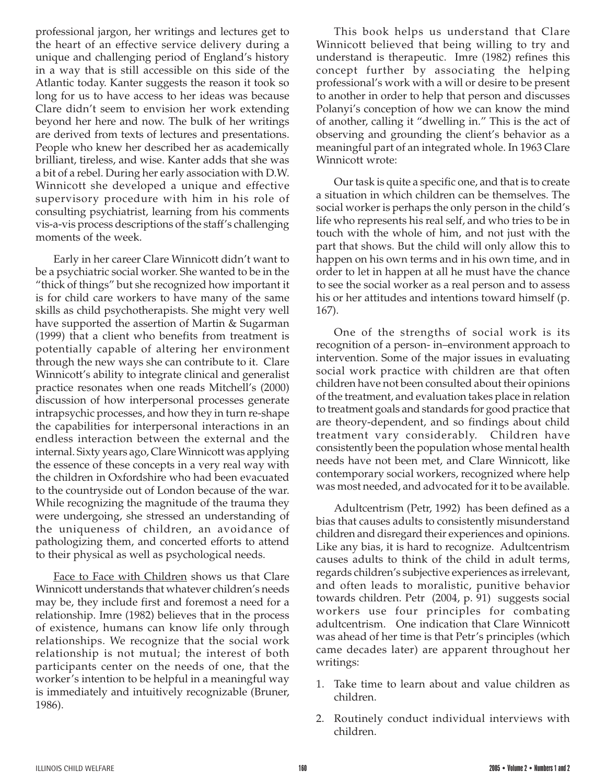professional jargon, her writings and lectures get to the heart of an effective service delivery during a unique and challenging period of England's history in a way that is still accessible on this side of the Atlantic today. Kanter suggests the reason it took so long for us to have access to her ideas was because Clare didn't seem to envision her work extending beyond her here and now. The bulk of her writings are derived from texts of lectures and presentations. People who knew her described her as academically brilliant, tireless, and wise. Kanter adds that she was a bit of a rebel. During her early association with D.W. Winnicott she developed a unique and effective supervisory procedure with him in his role of consulting psychiatrist, learning from his comments vis-a-vis process descriptions of the staff's challenging moments of the week.

Early in her career Clare Winnicott didn't want to be a psychiatric social worker. She wanted to be in the "thick of things" but she recognized how important it is for child care workers to have many of the same skills as child psychotherapists. She might very well have supported the assertion of Martin & Sugarman (1999) that a client who benefits from treatment is potentially capable of altering her environment through the new ways she can contribute to it. Clare Winnicott's ability to integrate clinical and generalist practice resonates when one reads Mitchell's (2000) discussion of how interpersonal processes generate intrapsychic processes, and how they in turn re-shape the capabilities for interpersonal interactions in an endless interaction between the external and the internal. Sixty years ago, Clare Winnicott was applying the essence of these concepts in a very real way with the children in Oxfordshire who had been evacuated to the countryside out of London because of the war. While recognizing the magnitude of the trauma they were undergoing, she stressed an understanding of the uniqueness of children, an avoidance of pathologizing them, and concerted efforts to attend to their physical as well as psychological needs.

Face to Face with Children shows us that Clare Winnicott understands that whatever children's needs may be, they include first and foremost a need for a relationship. Imre (1982) believes that in the process of existence, humans can know life only through relationships. We recognize that the social work relationship is not mutual; the interest of both participants center on the needs of one, that the worker's intention to be helpful in a meaningful way is immediately and intuitively recognizable (Bruner, 1986).

This book helps us understand that Clare Winnicott believed that being willing to try and understand is therapeutic. Imre (1982) refines this concept further by associating the helping professional's work with a will or desire to be present to another in order to help that person and discusses Polanyi's conception of how we can know the mind of another, calling it "dwelling in." This is the act of observing and grounding the client's behavior as a meaningful part of an integrated whole. In 1963 Clare Winnicott wrote:

Our task is quite a specific one, and that is to create a situation in which children can be themselves. The social worker is perhaps the only person in the child's life who represents his real self, and who tries to be in touch with the whole of him, and not just with the part that shows. But the child will only allow this to happen on his own terms and in his own time, and in order to let in happen at all he must have the chance to see the social worker as a real person and to assess his or her attitudes and intentions toward himself (p. 167).

One of the strengths of social work is its recognition of a person- in–environment approach to intervention. Some of the major issues in evaluating social work practice with children are that often children have not been consulted about their opinions of the treatment, and evaluation takes place in relation to treatment goals and standards for good practice that are theory-dependent, and so findings about child treatment vary considerably. Children have consistently been the population whose mental health needs have not been met, and Clare Winnicott, like contemporary social workers, recognized where help was most needed, and advocated for it to be available.

Adultcentrism (Petr, 1992) has been defined as a bias that causes adults to consistently misunderstand children and disregard their experiences and opinions. Like any bias, it is hard to recognize. Adultcentrism causes adults to think of the child in adult terms, regards children's subjective experiences as irrelevant, and often leads to moralistic, punitive behavior towards children. Petr (2004, p. 91) suggests social workers use four principles for combating adultcentrism. One indication that Clare Winnicott was ahead of her time is that Petr's principles (which came decades later) are apparent throughout her writings:

- 1. Take time to learn about and value children as children.
- 2. Routinely conduct individual interviews with children.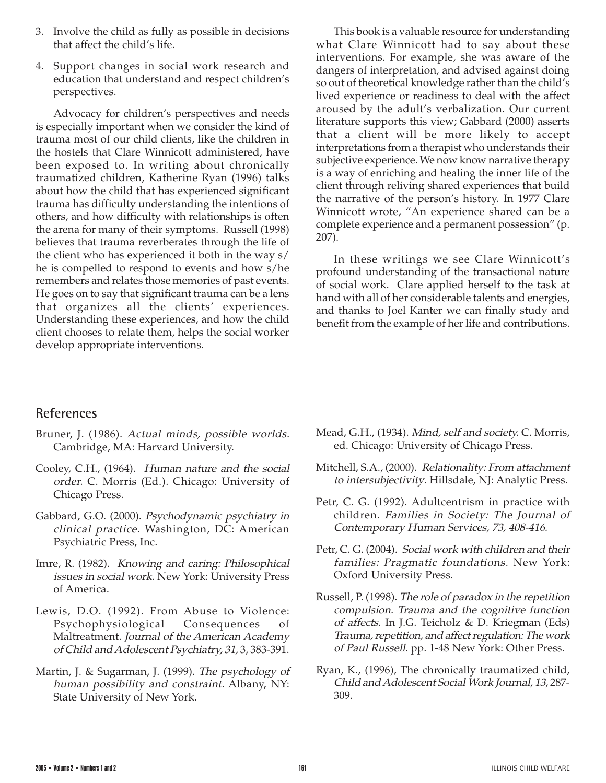- 3. Involve the child as fully as possible in decisions that affect the child's life.
- 4. Support changes in social work research and education that understand and respect children's perspectives.

Advocacy for children's perspectives and needs is especially important when we consider the kind of trauma most of our child clients, like the children in the hostels that Clare Winnicott administered, have been exposed to. In writing about chronically traumatized children, Katherine Ryan (1996) talks about how the child that has experienced significant trauma has difficulty understanding the intentions of others, and how difficulty with relationships is often the arena for many of their symptoms. Russell (1998) believes that trauma reverberates through the life of the client who has experienced it both in the way s/ he is compelled to respond to events and how s/he remembers and relates those memories of past events. He goes on to say that significant trauma can be a lens that organizes all the clients' experiences. Understanding these experiences, and how the child client chooses to relate them, helps the social worker develop appropriate interventions.

This book is a valuable resource for understanding what Clare Winnicott had to say about these interventions. For example, she was aware of the dangers of interpretation, and advised against doing so out of theoretical knowledge rather than the child's lived experience or readiness to deal with the affect aroused by the adult's verbalization. Our current literature supports this view; Gabbard (2000) asserts that a client will be more likely to accept interpretations from a therapist who understands their subjective experience. We now know narrative therapy is a way of enriching and healing the inner life of the client through reliving shared experiences that build the narrative of the person's history. In 1977 Clare Winnicott wrote, "An experience shared can be a complete experience and a permanent possession" (p. 207).

In these writings we see Clare Winnicott's profound understanding of the transactional nature of social work. Clare applied herself to the task at hand with all of her considerable talents and energies, and thanks to Joel Kanter we can finally study and benefit from the example of her life and contributions.

## **References**

- Bruner, J. (1986). Actual minds, possible worlds. Cambridge, MA: Harvard University.
- Cooley, C.H., (1964). Human nature and the social order. C. Morris (Ed.). Chicago: University of Chicago Press.
- Gabbard, G.O. (2000). Psychodynamic psychiatry in clinical practice. Washington, DC: American Psychiatric Press, Inc.
- Imre, R. (1982). Knowing and caring: Philosophical issues in social work. New York: University Press of America.
- Lewis, D.O. (1992). From Abuse to Violence: Psychophysiological Consequences of Maltreatment. Journal of the American Academy of Child and Adolescent Psychiatry, 31, 3, 383-391.
- Martin, J. & Sugarman, J. (1999). The psychology of human possibility and constraint. Albany, NY: State University of New York.
- Mead, G.H., (1934). Mind, self and society. C. Morris, ed. Chicago: University of Chicago Press.
- Mitchell, S.A., (2000). Relationality: From attachment to intersubjectivity. Hillsdale, NJ: Analytic Press.
- Petr, C. G. (1992). Adultcentrism in practice with children. Families in Society: The Journal of Contemporary Human Services, 73, 408-416.
- Petr, C. G. (2004). Social work with children and their families: Pragmatic foundations. New York: Oxford University Press.
- Russell, P. (1998). The role of paradox in the repetition compulsion. Trauma and the cognitive function of affects. In J.G. Teicholz & D. Kriegman (Eds) Trauma, repetition, and affect regulation: The work of Paul Russell. pp. 1-48 New York: Other Press.
- Ryan, K., (1996), The chronically traumatized child, Child and Adolescent Social Work Journal, 13, 287- 309.